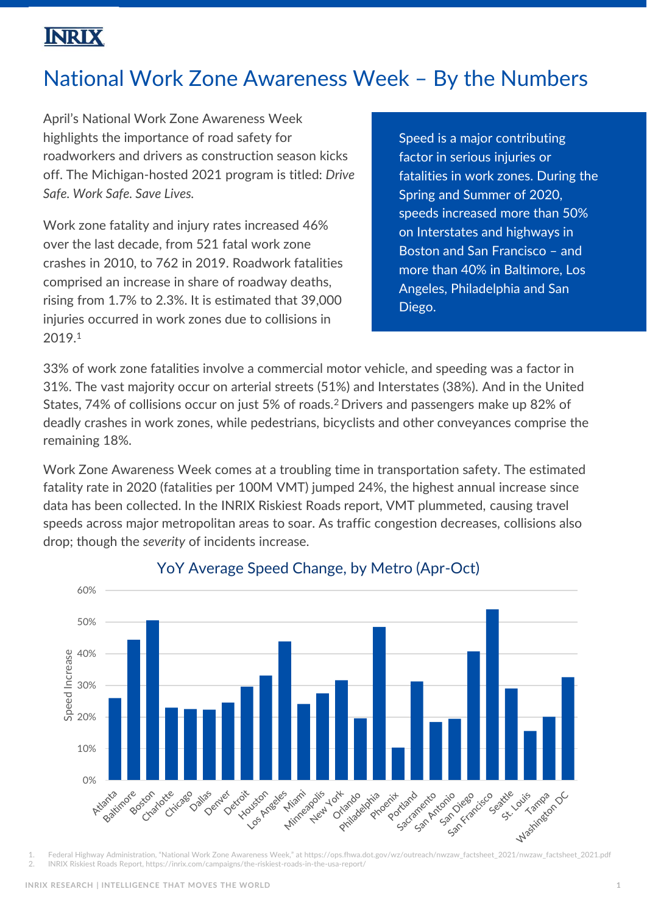## **INRIX**

# National Work Zone Awareness Week – By the Numbers

April's National Work Zone Awareness Week highlights the importance of road safety for roadworkers and drivers as construction season kicks off. The Michigan-hosted 2021 program is titled: *Drive Safe. Work Safe. Save Lives.*

Work zone fatality and injury rates increased 46% over the last decade, from 521 fatal work zone crashes in 2010, to 762 in 2019. Roadwork fatalities comprised an increase in share of roadway deaths, rising from 1.7% to 2.3%. It is estimated that 39,000 injuries occurred in work zones due to collisions in 2019.<sup>1</sup>

Speed is a major contributing factor in serious injuries or fatalities in work zones. During the Spring and Summer of 2020, speeds increased more than 50% on Interstates and highways in Boston and San Francisco – and more than 40% in Baltimore, Los Angeles, Philadelphia and San Diego.

33% of work zone fatalities involve a commercial motor vehicle, and speeding was a factor in 31%. The vast majority occur on arterial streets (51%) and Interstates (38%). And in the United States, 74% of collisions occur on just 5% of roads.<sup>2</sup>Drivers and passengers make up 82% of deadly crashes in work zones, while pedestrians, bicyclists and other conveyances comprise the remaining 18%.

Work Zone Awareness Week comes at a troubling time in transportation safety. The estimated fatality rate in 2020 (fatalities per 100M VMT) jumped 24%, the highest annual increase since data has been collected. In the INRIX Riskiest Roads report, VMT plummeted, causing travel speeds across major metropolitan areas to soar. As traffic congestion decreases, collisions also drop; though the *severity* of incidents increase.



YoY Average Speed Change, by Metro (Apr-Oct)

2. INRIX Riskiest Roads Report, https://inrix.com/campaigns/the-riskiest-roads-in-the-usa-report/